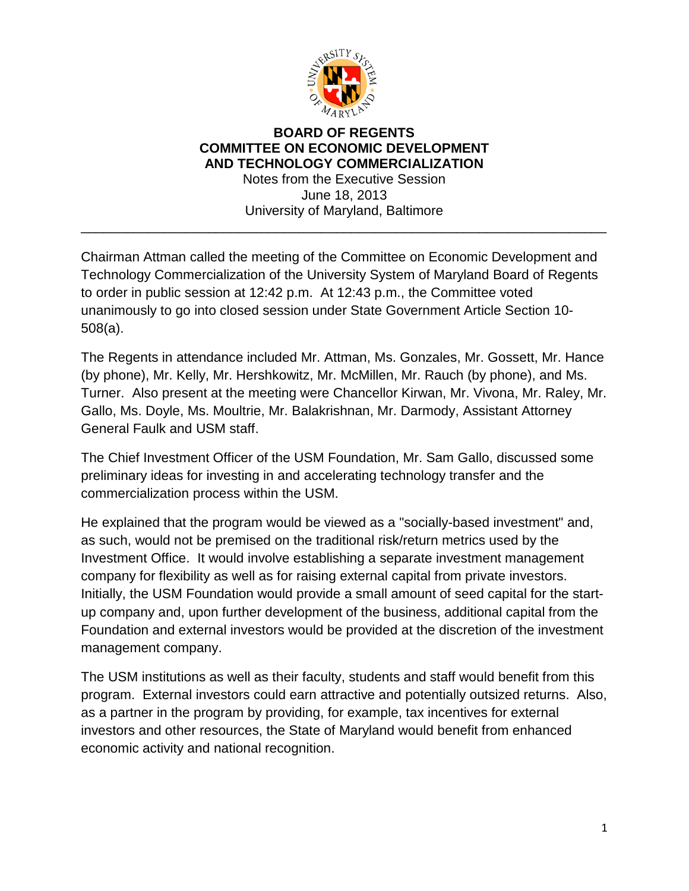

## **BOARD OF REGENTS COMMITTEE ON ECONOMIC DEVELOPMENT AND TECHNOLOGY COMMERCIALIZATION** Notes from the Executive Session

June 18, 2013 University of Maryland, Baltimore

\_\_\_\_\_\_\_\_\_\_\_\_\_\_\_\_\_\_\_\_\_\_\_\_\_\_\_\_\_\_\_\_\_\_\_\_\_\_\_\_\_\_\_\_\_\_\_\_\_\_\_\_\_\_\_\_\_\_\_\_\_\_\_\_\_\_\_\_\_\_

Chairman Attman called the meeting of the Committee on Economic Development and Technology Commercialization of the University System of Maryland Board of Regents to order in public session at 12:42 p.m. At 12:43 p.m., the Committee voted unanimously to go into closed session under State Government Article Section 10- 508(a).

The Regents in attendance included Mr. Attman, Ms. Gonzales, Mr. Gossett, Mr. Hance (by phone), Mr. Kelly, Mr. Hershkowitz, Mr. McMillen, Mr. Rauch (by phone), and Ms. Turner. Also present at the meeting were Chancellor Kirwan, Mr. Vivona, Mr. Raley, Mr. Gallo, Ms. Doyle, Ms. Moultrie, Mr. Balakrishnan, Mr. Darmody, Assistant Attorney General Faulk and USM staff.

The Chief Investment Officer of the USM Foundation, Mr. Sam Gallo, discussed some preliminary ideas for investing in and accelerating technology transfer and the commercialization process within the USM.

He explained that the program would be viewed as a "socially-based investment" and, as such, would not be premised on the traditional risk/return metrics used by the Investment Office. It would involve establishing a separate investment management company for flexibility as well as for raising external capital from private investors. Initially, the USM Foundation would provide a small amount of seed capital for the startup company and, upon further development of the business, additional capital from the Foundation and external investors would be provided at the discretion of the investment management company.

The USM institutions as well as their faculty, students and staff would benefit from this program. External investors could earn attractive and potentially outsized returns. Also, as a partner in the program by providing, for example, tax incentives for external investors and other resources, the State of Maryland would benefit from enhanced economic activity and national recognition.